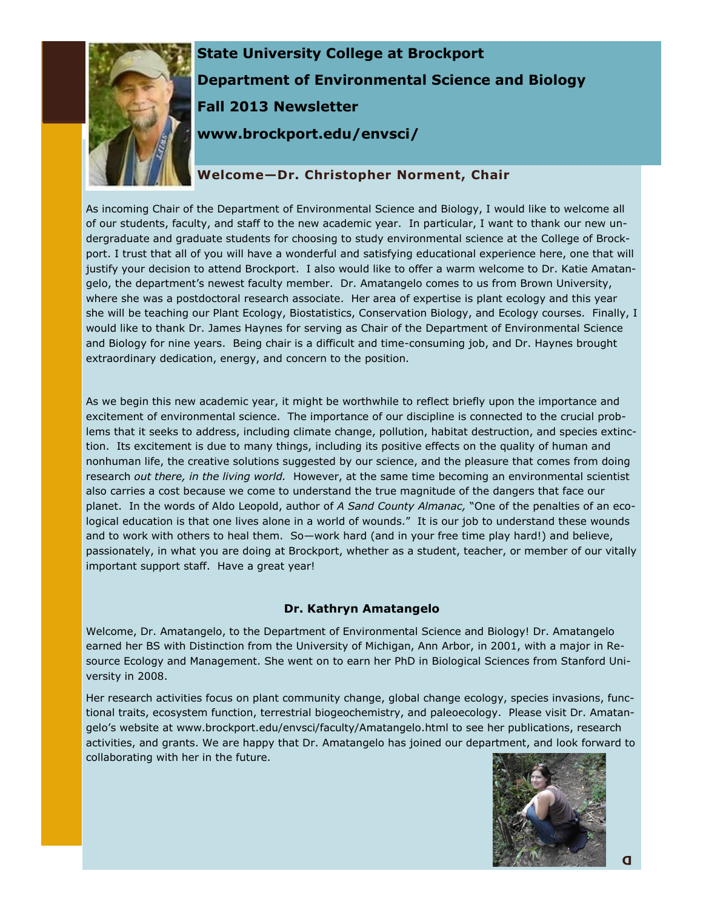

**State University College at Brockport Department of Environmental Science and Biology Fall 2013 Newsletter www.brockport.edu/envsci/**

#### **Welcome—Dr. Christopher Norment, Chair**

As incoming Chair of the Department of Environmental Science and Biology, I would like to welcome all of our students, faculty, and staff to the new academic year. In particular, I want to thank our new undergraduate and graduate students for choosing to study environmental science at the College of Brockport. I trust that all of you will have a wonderful and satisfying educational experience here, one that will justify your decision to attend Brockport. I also would like to offer a warm welcome to Dr. Katie Amatangelo, the department's newest faculty member. Dr. Amatangelo comes to us from Brown University, where she was a postdoctoral research associate. Her area of expertise is plant ecology and this year she will be teaching our Plant Ecology, Biostatistics, Conservation Biology, and Ecology courses. Finally, I would like to thank Dr. James Haynes for serving as Chair of the Department of Environmental Science and Biology for nine years. Being chair is a difficult and time-consuming job, and Dr. Haynes brought extraordinary dedication, energy, and concern to the position.

As we begin this new academic year, it might be worthwhile to reflect briefly upon the importance and excitement of environmental science. The importance of our discipline is connected to the crucial problems that it seeks to address, including climate change, pollution, habitat destruction, and species extinction. Its excitement is due to many things, including its positive effects on the quality of human and nonhuman life, the creative solutions suggested by our science, and the pleasure that comes from doing research *out there, in the living world.* However, at the same time becoming an environmental scientist also carries a cost because we come to understand the true magnitude of the dangers that face our planet. In the words of Aldo Leopold, author of *A Sand County Almanac,* "One of the penalties of an ecological education is that one lives alone in a world of wounds." It is our job to understand these wounds and to work with others to heal them. So—work hard (and in your free time play hard!) and believe, passionately, in what you are doing at Brockport, whether as a student, teacher, or member of our vitally important support staff. Have a great year!

#### **Dr. Kathryn Amatangelo**

Welcome, Dr. Amatangelo, to the Department of Environmental Science and Biology! Dr. Amatangelo earned her BS with Distinction from the University of Michigan, Ann Arbor, in 2001, with a major in Resource Ecology and Management. She went on to earn her PhD in Biological Sciences from Stanford University in 2008.

Her research activities focus on plant community change, global change ecology, species invasions, functional traits, ecosystem function, terrestrial biogeochemistry, and paleoecology. Please visit Dr. Amatangelo's website at www.brockport.edu/envsci/faculty/Amatangelo.html to see her publications, research activities, and grants. We are happy that Dr. Amatangelo has joined our department, and look forward to collaborating with her in the future.

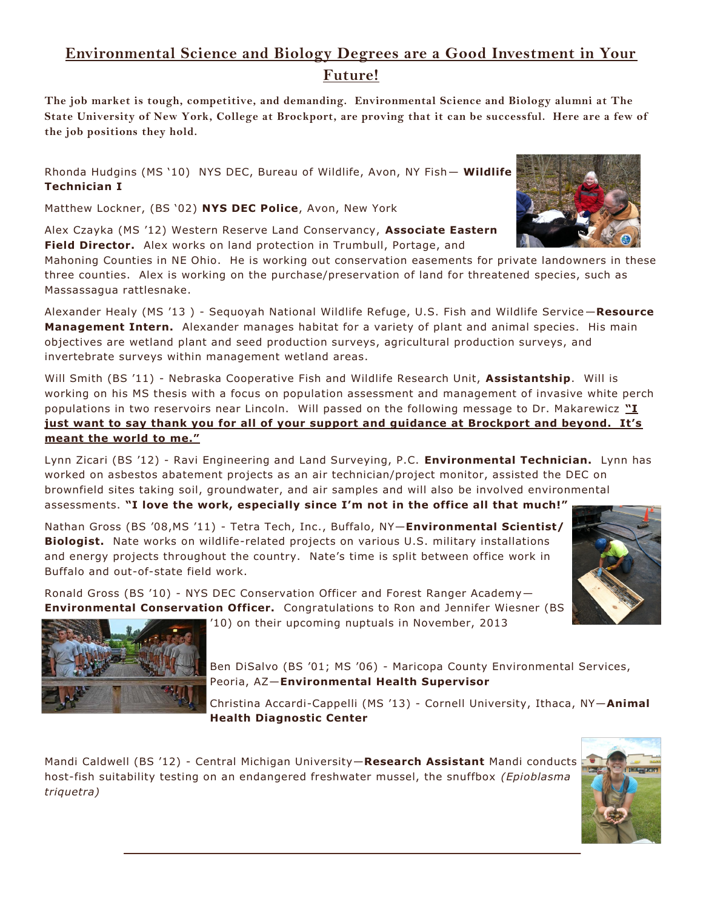### **Environmental Science and Biology Degrees are a Good Investment in Your Future!**

**The job market is tough, competitive, and demanding. Environmental Science and Biology alumni at The State University of New York, College at Brockport, are proving that it can be successful. Here are a few of the job positions they hold.**

Rhonda Hudgins (MS '10) NYS DEC, Bureau of Wildlife, Avon, NY Fish— **Wildlife Technician I**

Matthew Lockner, (BS '02) **NYS DEC Police**, Avon, New York

Alex Czayka (MS '12) Western Reserve Land Conservancy, **Associate Eastern Field Director.** Alex works on land protection in Trumbull, Portage, and

Mahoning Counties in NE Ohio. He is working out conservation easements for private landowners in these three counties. Alex is working on the purchase/preservation of land for threatened species, such as Massassagua rattlesnake.

Alexander Healy (MS '13 ) - Sequoyah National Wildlife Refuge, U.S. Fish and Wildlife Service—**Resource Management Intern.** Alexander manages habitat for a variety of plant and animal species. His main objectives are wetland plant and seed production surveys, agricultural production surveys, and invertebrate surveys within management wetland areas.

Will Smith (BS '11) - Nebraska Cooperative Fish and Wildlife Research Unit, **Assistantship**. Will is working on his MS thesis with a focus on population assessment and management of invasive white perch populations in two reservoirs near Lincoln. Will passed on the following message to Dr. Makarewicz **"I just want to say thank you for all of your support and guidance at Brockport and beyond. It's meant the world to me."** 

Lynn Zicari (BS '12) - Ravi Engineering and Land Surveying, P.C. **Environmental Technician.** Lynn has worked on asbestos abatement projects as an air technician/project monitor, assisted the DEC on brownfield sites taking soil, groundwater, and air samples and will also be involved environmental assessments. **"I love the work, especially since I'm not in the office all that much!"**

Nathan Gross (BS '08,MS '11) - Tetra Tech, Inc., Buffalo, NY—**Environmental Scientist/ Biologist.** Nate works on wildlife-related projects on various U.S. military installations and energy projects throughout the country. Nate's time is split between office work in Buffalo and out-of-state field work.

Ronald Gross (BS '10) - NYS DEC Conservation Officer and Forest Ranger Academy— **Environmental Conservation Officer.** Congratulations to Ron and Jennifer Wiesner (BS

'10) on their upcoming nuptuals in November, 2013

Ben DiSalvo (BS '01; MS '06) - Maricopa County Environmental Services, Peoria, AZ—**Environmental Health Supervisor** 

Christina Accardi-Cappelli (MS '13) - Cornell University, Ithaca, NY—**Animal Health Diagnostic Center**

Mandi Caldwell (BS '12) - Central Michigan University—**Research Assistant** Mandi conducts host-fish suitability testing on an endangered freshwater mussel, the snuffbox *(Epioblasma triquetra)*







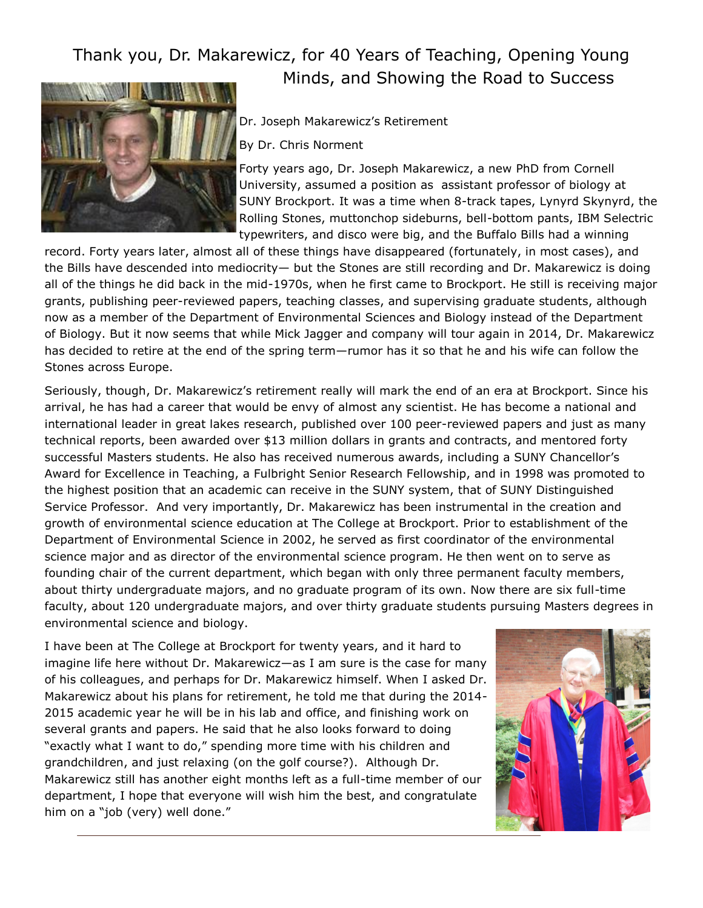## Thank you, Dr. Makarewicz, for 40 Years of Teaching, Opening Young Minds, and Showing the Road to Success



Dr. Joseph Makarewicz's Retirement

By Dr. Chris Norment

Forty years ago, Dr. Joseph Makarewicz, a new PhD from Cornell University, assumed a position as assistant professor of biology at SUNY Brockport. It was a time when 8-track tapes, Lynyrd Skynyrd, the Rolling Stones, muttonchop sideburns, bell-bottom pants, IBM Selectric typewriters, and disco were big, and the Buffalo Bills had a winning

record. Forty years later, almost all of these things have disappeared (fortunately, in most cases), and the Bills have descended into mediocrity— but the Stones are still recording and Dr. Makarewicz is doing all of the things he did back in the mid-1970s, when he first came to Brockport. He still is receiving major grants, publishing peer-reviewed papers, teaching classes, and supervising graduate students, although now as a member of the Department of Environmental Sciences and Biology instead of the Department of Biology. But it now seems that while Mick Jagger and company will tour again in 2014, Dr. Makarewicz has decided to retire at the end of the spring term—rumor has it so that he and his wife can follow the Stones across Europe.

Seriously, though, Dr. Makarewicz's retirement really will mark the end of an era at Brockport. Since his arrival, he has had a career that would be envy of almost any scientist. He has become a national and international leader in great lakes research, published over 100 peer-reviewed papers and just as many technical reports, been awarded over \$13 million dollars in grants and contracts, and mentored forty successful Masters students. He also has received numerous awards, including a SUNY Chancellor's Award for Excellence in Teaching, a Fulbright Senior Research Fellowship, and in 1998 was promoted to the highest position that an academic can receive in the SUNY system, that of SUNY Distinguished Service Professor. And very importantly, Dr. Makarewicz has been instrumental in the creation and growth of environmental science education at The College at Brockport. Prior to establishment of the Department of Environmental Science in 2002, he served as first coordinator of the environmental science major and as director of the environmental science program. He then went on to serve as founding chair of the current department, which began with only three permanent faculty members, about thirty undergraduate majors, and no graduate program of its own. Now there are six full-time faculty, about 120 undergraduate majors, and over thirty graduate students pursuing Masters degrees in environmental science and biology.

I have been at The College at Brockport for twenty years, and it hard to imagine life here without Dr. Makarewicz—as I am sure is the case for many of his colleagues, and perhaps for Dr. Makarewicz himself. When I asked Dr. Makarewicz about his plans for retirement, he told me that during the 2014- 2015 academic year he will be in his lab and office, and finishing work on several grants and papers. He said that he also looks forward to doing "exactly what I want to do," spending more time with his children and grandchildren, and just relaxing (on the golf course?). Although Dr. Makarewicz still has another eight months left as a full-time member of our department, I hope that everyone will wish him the best, and congratulate him on a "job (very) well done."